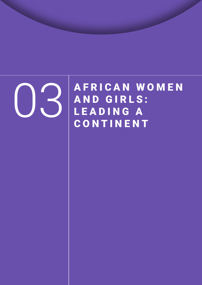

**OSPERICAN WOMEN** AND GIRLS: LEADING A **CONTINENT**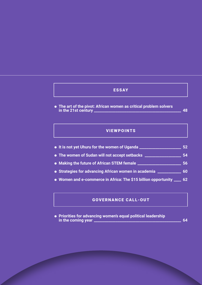# ESSAY

⁕ **The art of the pivot: African women as critical problem solvers in the 21st century \_\_\_\_\_\_\_\_\_\_\_\_\_\_\_\_\_\_\_\_\_\_\_\_\_\_\_\_\_\_\_\_\_\_\_\_\_\_\_\_\_\_\_\_\_\_\_\_ 48**

# **VIEWPOINTS**

- ⁕ **It is not yet Uhuru for the women of Uganda \_\_\_\_\_\_\_\_\_\_\_\_\_\_\_\_\_\_\_\_\_\_\_ 52**
- ⁕ **The women of Sudan will not accept setbacks \_\_\_\_\_\_\_\_\_\_\_\_\_\_\_\_\_\_\_\_ 54**
- ⁕ **Making the future of African STEM female \_\_\_\_\_\_\_\_\_\_\_\_\_\_\_\_\_\_\_\_\_\_\_\_ 56**
- ⁕ **Strategies for advancing African women in academia \_\_\_\_\_\_\_\_\_\_\_\_\_ 60**
- ⁕ **Women and e-commerce in Africa: The \$15 billion opportunity \_\_\_\_ 62**

# GOVERNANCE CALL-OUT

⁕ **Priorities for advancing women's equal political leadership in the coming year \_\_\_\_\_\_\_\_\_\_\_\_\_\_\_\_\_\_\_\_\_\_\_\_\_\_\_\_\_\_\_\_\_\_\_\_\_\_\_\_\_\_\_\_\_\_\_\_ 64**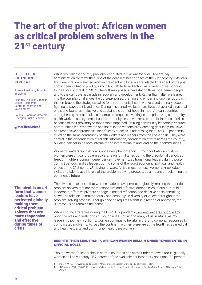# The art of the pivot: African women as critical problem solvers in the 21<sup>st</sup> century

## H.E. ELLEN **JOHNSON** SIRLEAF

Former President, Republic of Liberia

Founder, The Ellen Johnson Sirleaf Presidential Center for Women and Development

Co-chair, Board of Directors, Emerging Public Leaders

@MaEllenSirleaf

## The pivot is an art form that women leaders have perfected globally, making them critical problem solvers that are more responsive and effective during times of crisis.

While rebuilding a country previously engulfed in civil war for over 14 years, my administration oversaw, then, one of the deadliest health crises of the 21st century. I, Africa's first democratically elected woman president and Liberia's first elected president of the postconflict period, had to pivot quickly in both attitude and action, as a means of responding to the Ebola outbreak of 2014. The outbreak posed a devastating threat to Liberia's people and to the gains we had made in recovery and development. Rather than falter, we leaned into the complex challenges the outbreak posed, crafting and embarking upon an approach that embraced the strategies called for by community health workers and ordinary people fighting to save their loved ones. During this period, we lost many lives but averted a national crisis and found an inclusive and sustainable path of hope. In most African countries, strengthening the national health structure requires investing in and prioritizing community health workers and systems. Local community health workers are crucial in times of crisis because of their proximity to those most impacted. Utilizing community leadership ensures communities feel empowered and share in the responsibility, creating genuinely inclusive and responsive approaches. Liberia's early success in addressing the COVID-19 pandemic relied on the same community health workers and leaders from the Ebola crisis. They were central in the dissemination of reliable information, coordination efforts across the country, building partnerships both internally and internationally, and leading their communities.

Women's leadership in Africa is not a new phenomenon. Throughout Africa's history, [women were critical problem solvers](https://oxfordre.com/africanhistory/view/10.1093/acrefore/9780190277734.001.0001/acrefore-9780190277734-e-192), leading militaries during the precolonial period, as freedom fighters during independence movements, as transitional leaders during postconflict periods, and as leaders during some of the worst economic, political, and health crises of the 21st century.<sup>1</sup> Moving forward, Africa must harness women's knowledge, skills, and talents at all levels of the problem-solving process, as a means of reclaiming the continent's future.

The pivot is an art form that women leaders have perfected globally, making them critical problem solvers that are more responsive and effective during times of crisis. In public leadership, effective pivoters engage in critical reflection and decisive decisionmaking as well as take on—simultaneously and seriously—a diversity of voices throughout the problem-solving process. Though pivoting requires a shift in direction or approach, the ultimate vision remains the same.

While shifting strategies during the COVID-19 pandemic, women leaders continued to [prioritize lives and livelihoods](https://www.unwomen.org/en/digital-library/publications/2020/06/policy-brief-covid-19-and-womens-leadership).<sup>2</sup> Though not surprising to many of us in Africa, as my leadership journey highlights, women continue to be vital in crafting complex responses to complicated problems. Across the continent, women were/are at the frontlines as medical and health experts and community healthcare workers.

## Despite their leadership, African women remain underrepresented in official roles

Though women's leadership in certain countries has come under renewed focus, globally, women still only [occupy 25.7 percent of the available parliamentary positions](https://www.unwomen.org/en/digital-library/publications/2021/03/women-in-politics-map-2021), 7.2 percent

<sup>1</sup> Tripp, A. M. (2017). "Women and politics in Africa." Oxford Research Encyclopedia of African History.

<sup>2</sup> UN Women. (2020). "COVID-19 and Women's Leadership: From an Effective Response to Building Back Better." UN Women. Policy Brief, 18.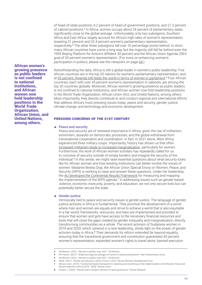of head-of-state positions, 6.2 percent of head-of-government positions, and 21.3 percent of cabinet positions.<sup>3</sup> In Africa, women occupy about 24 percent of parliamentary seats, significantly close to the global average. Unfortunately, only two subregions, Southern Africa and East Africa, largely account for Africa's high rates of women's representation, boasting 31 percent and 32.4 percent women's parliamentary representation, respectively.<sup>4</sup> The other three subregions fall over 10 percentage points behind. In short, many African countries have come a long way, but the majority still fall far behind even the 1995 Beijing Platform for Action's diffident 30 percent and the African Union Agenda 2063 goal of 50 percent women's representation. (For more on enhancing women's participation in politics, please see the viewpoint on page 64.)

African women's growing presence as public leaders is not confined to national institutions, and African women now hold leadership positions in the World Trade Organization, African Union, and United Nations, among others.

Notwithstanding the data, Africa is still a global leader in women's public leadership. Five African countries are in the top 20 nations for women's parliamentary representation, and, at [60 percent, Rwanda still leads the world in terms of women in parliament](https://www.unwomen.org/en/digital-library/publications/2021/03/women-in-politics-map-2021).<sup>5</sup> Four African countries, each with over 45 percent women's representation in cabinets, are among the top 20 countries globally. Moreover, African women's growing presence as public leaders is not confined to national institutions, and African women now hold leadership positions in the World Trade Organization, African Union (AU), and United Nations, among others. More importantly, they directly contribute to and conduct regional and international efforts that address Africa's most pressing issues today: peace and security, gender justice, climate change, and technology and economic development.

### Pressing concerns of the 21st century

#### ⁕ Peace and security

Peace and security are of renewed importance in Africa, given the rise of militarism, extremism, assaults on democratic processes, and the global withdrawal from transnational cooperation and coordination. In fact, in 2021 alone, West Africa experienced three military coups. Importantly, history has shown us that often [increased militarism leads to increased marginalization](https://awdf.org/wp-content/uploads/Primer-Two-Gender-Security-in-Africa.pdf), particularly for women. Furthermore, the work of African women scholars has repeatedly called for us to conceive of security outside of simply borders and imagine the security of the individual.<sup>6</sup> In this sense, we might raise essential questions about what security looks like for African women and how existing institutions can better involve the voices of women. Madame Bineta Diop, the African Union Special Envoy on Women, Peace, and Security (WPS) is working to raise and answer these questions. Under her leadership, the [AU developed the Continental Results Framework](https://au.int/en/documents/20190204/continental-results-framework-reporting-and-monitoring-implementation-women-peace) for measuring and mapping the implementation of the WPS agenda.<sup>7</sup> In addressing issues such as gender-based violence, economic insecurity, poverty, and education, we not only secure lives but can potentially better secure the state.

#### ⁕ Gender justice

Intrinsically tied to peace and security issues is *gender justice.* The language of gender justice activists in Africa is fundamental. They prioritize the development of a world where men and women are equals and strive to achieve a world that is also equitable. In a fair world, frameworks, resources, and laws are implemented and provided to ensure that women and girls have access to the necessary financial resources and tools that will close the gaps created by gender inequality and marginalization, directly transforming communities as a whole. The recent activism of Sudanese women in 2019 and 2020, which ushered in a new leadership, sheds light on the power of gender activism today in Africa.<sup>8</sup> Their demands for reform extended far beyond equality, ensuring that the transitional government and constitution guaranteed 40 percent women's representation, expanded women's rights to travel alone, banned execution

Security Agenda in Africa (2018 - 2028)." African Union.

<sup>3</sup> UN Women. (2021). "Women in politics map: 2021." UN Women.

<sup>4</sup> IPU Parline. (2021). "Global and regional averages of women in national parliaments." Inter-Parliamentary Union.

<sup>5</sup> UN Women. (2021). "Women in politics map: 2021." UN Women.

<sup>6</sup> AWDF. (2021). "Gender and Security in Africa: Primer 2 2016." African Women's Development Fund. African Union. (2019). "Continental results framework for reporting and monitoring on the implementation of the Women, Peace and

<sup>8</sup> Cooper, J. (2020). "Women lead in Sudan's clamour for good governance." African Renewal.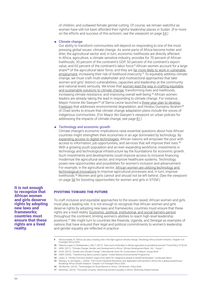of children, and outlawed female genital cutting. Of course, we remain watchful as women have still not been afforded their rightful leadership places in Sudan. (For more on the efforts and success of this activism, see the viewpoint on page 54.)

#### ⁕ Climate change

Our ability to transform communities will depend on responding to one of the most pressing global issues: climate change. As some parts of Africa become hotter and drier, the agricultural sector and, in turn, economic livelihoods are directly affected. In Africa, agriculture, a climate-sensitive industry, provides for 70 percent of African livelihoods, 30 percent of the continent's GDP, 50 percent of the continent's export value, and 65 percent of the continent's labor force.<sup>9</sup> African women account for a large share<sup>10</sup> of the agricultural labor force, and they are far more likely to work in vulnerable [employment](https://www.afdb.org/sites/default/files/documents/publications/climate_change_gender_and_development_in_africa.pdf), increasing their risk of livelihood insecurity.<sup>11</sup> To equitably address climate change, we must craft multi-stakeholder and multisectoral approaches that take women and girls' distinct vulnerabilities, capacities and leadership at the community and national levels seriously. We know that [women lead the way in crafting equitable](https://www.iucn.org/downloads/gender_and_climate_change_issues_brief_cop21__04122015.pdf)  [and sustainable solutions to climate change,](https://www.iucn.org/downloads/gender_and_climate_change_issues_brief_cop21__04122015.pdf) transforming lives and livelihoods, increasing climate resistance, and improving overall well-being.<sup>12</sup> African women leaders are already taking the lead in responding to climate change. For instance, Mayor Yvonne Aki-Sawyerr<sup>13</sup> of Sierra Leone launched a three-year plan to develop [Freetown](https://www.unep.org/news-and-stories/story/transforming-sierra-leones-capital) that addresses environmental degradation, and Hindou Oumarou Ibrahim<sup>14</sup> of Chad works to ensure that climate change adaptation plans include the voices of indigenous communities. (For Mayor Aki-Sawyerr's viewpoint on urban policies for addressing the impacts of climate change, see page 81.)

### ⁕ Technology and economic growth

Climate change's economic implications raise essential questions about how African countries might strengthen their economies in an age dominated by technology. By [expanding access to digital technologies](https://www.brookings.edu/research/the-fourth-industrial-revolution-and-digitization-will-transform-africa-into-a-global-powerhouse/), African nations will empower the poor with access to information, job opportunities, and services that will improve their lives.<sup>15</sup> With a growing youth population and an ever-expanding workforce, investments in technology and technological infrastructure lay the foundations for economic growth. Such investments and developments could improve access to inclusive financing, modernize the agricultural sector, and improve healthcare systems. Technology poses new opportunities and possibilities for women's inclusion and advancement. For example, in the agricultural sector, African women are utilizing technology and [technological innovations](https://africa.unwomen.org/en/digital-library/publications/2016/04/technologies-for-rural-women-in-africa) to improve agricultural processes and, in turn, improve livelihoods.<sup>16</sup> Women and girls cannot and should not be left behind. (See the viewpoint on page 56 for boosting opportunities for women and girls in STEM.)

## Pivoting toward the future

To craft inclusive and equitable approaches to the issues raised, African women and girls must play a leading role. It is not enough to recognize that African women and girls deserve rights by adopting new laws and frameworks; countries must ensure that these rights are a lived reality. [Economic, political, institutional, and social barriers persist](https://www.mckinsey.com/featured-insights/gender-equality/the-power-of-parity-advancing-womens-equality-in-africa) throughout the continent, limiting women's abilities to reach high-level leadership positions.<sup>17</sup> We might turn to countries like Rwanda, Uganda, and Senegal as examples of nations that have ensured their legal and political commitments to women's leadership and gender equality are reflected in practice.

9 Okonjo-Iweala, N. "Africa can play a leading role in the fight against climate change." Brookings Africa Growth Initiative. Chapter 4 of Foresight Africa 2020.

- 10 Palacios-Lopez A, Christiaensen L, Kilic T. (2017). "How much of the labor in African agriculture is provided by women?" Food Policy. 67:52-63.
- 11 AfDB. (2011). "Climate Change, Gender, and Development in Africa." African Development Bank. Vol. 1 Issue 1.
- 12 IUCN. (2015). "Gender and Climate Change." International Union for Conservation of Nature. Issues Brief.
- 13 UNEP. (2020). "Transforming Sierra Leone's Capital." United Nations Environmental Programme.
- 14 Lipton, G. "Hindou Oumarou Ibrahim urges more rights for indigenous people to benefit landscapes." Landscape News.
- 15 Ndung'u, N. and Signé, L. (2020). "The Fourth Industrial Revolution and digitization will transform Africa into a global powerhouse." Brookings Africa Growth Initiative." Chapter 5 of *Foresight Africa 2020*.
- 16 UN Women. (2016). "Technologies for Rural Women in Africa." UN Women. Policy Brief.
- 17 McKinsey. (2019). "The power of parity: Advancing women's equality in Africa." McKinsey Global Institute.

It is not enough to recognize that African women and girls deserve rights by adopting new laws and frameworks; countries must ensure that these rights are a lived reality.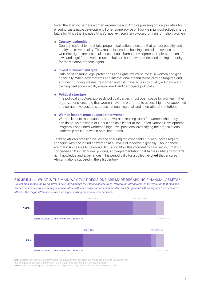Given the existing barriers women experience and Africa's pressing critical priorities for ensuring sustainable development, I offer some advice on how we might collectively chart a future for Africa that includes Africa's most extraordinary pivoters for transformation: women.

#### ⁕ **Country leadership**

Country leadership must take proper legal action to ensure that gender equality and equity are a lived reality. They must also lead on building a social consensus that women's rights are essential to sustainable human development. Implementation of laws and legal frameworks must be built on both new attitudes and ending impunity for the violation of those rights.

#### ⁕ Invest in women and girls

Outside of ensuring legal protections and rights, we must invest in women and girls financially. When governments and international organizations provide targeted and sufficient funding, we ensure women and girls have access to quality education and training, feel economically empowered, and participate politically.

## ⁕ **Political structure**

The political structure, expressly political parties, must open space for women in their organizations, ensuring that women have the platforms to access high-level appointed and competitive positions across national, regional, and international institutions.

#### ⁕ **Women leaders must support other women**

Women leaders must support other women, making room for women when they can do so. As president of Liberia and as a leader at the United Nations Development Program, I appointed women to high-level positions, diversifying the organizational leadership structure within both institutions.

Tackling Africa's pressing issues and ensuring the continent's future success require engaging with and including women at all levels of leadership globally. Though there are many successes to celebrate, let us not allow this moment to pass without making concerted shifts in attitudes, policies, and implementation that harness African women's rich knowledge and experiences. This period calls for a collective **pivot** that ensures African nations succeed in the 21st century.

## FIGURE 3.1. WHAT IS THE MAIN WAY THAT DECISIONS ARE MADE REGARDING FINANCIAL ASSETS?

*Households across the world differ in how they manage their financial resources. Notably, an Afrobarometer survey found that men and women decide how to use money in consultation with each other and others at similar rates (41 percent with family and 6 percent with others). The major difference is that men report making more unilateral decisions.*



NOTE: Respondents were asked: What is the main way that decisions are made about how to use any money that you have or earn, for example from a job, a business, selling things, or other activities? SOURCE: "Gains and gaps: perceptions and experience of gender in Africa," Afrobarometer. 2019.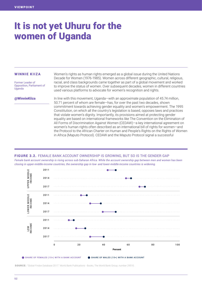# It is not yet Uhuru for the women of Uganda

#### WINNIE KIIZA

Former Leader of Opposition, Parliament of Uganda

Women's rights as human rights emerged as a global issue during the United Nations Decade for Women (1976-1985). Women across different geographic, cultural, religious, racial, and class backgrounds came together as part of a global movement and worked to improve the status of women. Over subsequent decades, women in different countries used various platforms to advocate for women's recognition and rights.

@WinnieKiiza

In line with this movement, Uganda—with an approximate population of 45.74 million, 50.71 percent of whom are female—has, for over the past two decades, shown commitment towards achieving gender equality and women's empowerment. The 1995 Constitution, on which all the country's legislation is based, opposes laws and practices that violate women's dignity. Importantly, its provisions aimed at protecting gender equality are based on international frameworks like The Convention on the Elimination of All Forms of Discrimination Against Women (CEDAW)—a key international agreement on women's human rights often described as an international bill of rights for women—and the Protocol to the African Charter on Human and People's Rights on the Rights of Women in Africa (Maputo Protocol). CEDAW and the Maputo Protocol signal a successful

## FIGURE 3.2. FEMALE BANK ACCOUNT OWNERSHIP IS GROWING, BUT SO IS THE GENDER GAP

*Female bank account ownership is rising across sub-Saharan Africa. While the account ownership gap between men and women has been closing in upper-middle-income countries, the ownership gap in low- and lower-middle-income countries is widening.* 



SOURCE: "Global Findex Database 2017." World Bank Publications - Books, The World Bank Group, number 29510.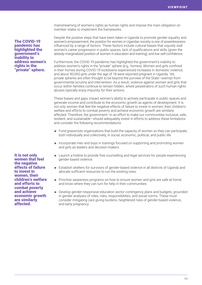mainstreaming of women's rights as human rights and impose the main obligation on member states to implement the frameworks.

Despite the positive steps that have been taken in Uganda to promote gender equality and women's empowerment, the position for women in Ugandan society is one of powerlessness influenced by a range of factors. These factors include cultural biases that unjustly stall women's career progression in public spaces, lack of qualifications and skills (given the already-marginalized position of women in education and training), and low self-confidence.

Furthermore, the COVID-19 pandemic has highlighted the government's inability to address women's rights in the "private" sphere (e.g., homes). Women and girls confined in their homes during COVID-19 lockdowns experienced increases in domestic violence, and about 90,000 girls under the age of 18 were reported pregnant in Uganda. Yet, private spheres are often thought to be beyond the purview of the State—exempt from governmental scrutiny and intervention. As a result, violence against women and girls that occur within families continue to remain hidden, where perpetrators of such human rights abuses typically enjoy impunity for their actions.

These biases and gaps impact women's ability to actively participate in public spaces and generate income and contribute to the economic growth as agents of development. It is not only women that feel the negative effects of failure to invest in women, their children's welfare and efforts to combat poverty and achieve economic growth are similarly affected. Therefore, the government—in an effort to make our communities inclusive, safe, resilient, and sustainable—should adequately invest in efforts to address these limitations and consider the following recommendations:

- ⁕ Fund grassroots organizations that build the capacity of women so they can participate, both individually and collectively, in social, economic, political, and public life.
- ⁕ Incorporate men and boys in trainings focused on supporting and promoting women and girls as leaders and decision makers.
- ⁕ Launch a hotline to provide free counselling and legal services for people experiencing gender-based violence.
- ⁕ Establish shelters for survivors of gender-based violence in all districts of Uganda and allocate sufficient resources to run the existing ones.
- ⁕ Prioritize awareness programs on how to ensure women and girls are safe at home and know where they can turn for help in their communities.
- ⁕ Develop gender-responsive education sector contingency plans and budgets, grounded in gender analyses of roles, risks, responsibilities, and social norms. These must consider mitigating care giving burdens, heightened risks of gender-based violence, and early pregnancy.

The COVID-19 pandemic has highlighted the government's inability to address women's rights in the "private" sphere.

It is not only women that feel the negative effects of failure to invest in women, their children's welfare and efforts to combat poverty and achieve economic growth are similarly affected.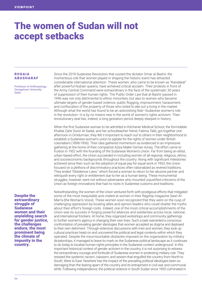# The women of Sudan will not accept setbacks

## ROGAIA ABUSHARAF

Professor of Anthropology, Georgetown University - **Oatar** 

Despite the extraordinary struggle of Sudanese women and their unyielding search for gender justice, the challenges endure, the most prominent being the climate of impunity in the country.

Since the 2019 Sudanese Revolution that ousted the dictator Omar al-Bashir, the momentous role that women played in shaping the historic event has attracted considerable international attention. These women, who came to be known as "Kandakat" after powerful Nubian queens, have achieved critical acclaim. Their protests in front of the Army Central Command were extraordinary in the face of the systematic 30 years of suppression of their human rights. The Public Order Law that al-Bashir passed in 1996 was not only detrimental to ethnic minorities, but also to women who became ultimate targets of gender-based violence, public flogging, imprisonment, harassment, and confiscation of the property of those who toiled to eke out a living in the market. Although what the world has found to be an astonishing feat—Sudanese women's role in the revolution—it is by no means new in the world of women's rights activism. Their revolutionary zeal has, indeed, a long gestation period deeply steeped in history.

When the first Sudanese woman to be admitted in Kitchener Medical School, the formidable Khalda Zahir Soror Al-Sadat, and her schoolteacher friend, Fatima Talib, got together one afternoon in Omdurman, they felt it important to reach out to others in their neighborhood to establish a Sudanese woman's union to agitate for the rights of women under British colonialism (1898-1956). Their idea gathered momentum as evidenced in an impressive gathering at the home of their compatriot Aziza Makki Osman Azraq. The effort came to fruition in 1952 with the founding of the Sudanese Women's Union. Far from being an elitist, urban-based effort, the Union succeeded in including women of all regional, religious, ethnic, and socioeconomic backgrounds throughout the country. Along with significant milestones achieved since then such as the adoption of equal pay for equal work in 1953, the Union focused on a plethora of discriminatory practices often rationalized as revered traditions. They ended "Obedience Laws," which forced a woman to return to her abusive partner and relinquish every right or entitlement due to her as a human being. These monumental struggles, however, were not without adversaries who mounted unjustified criticisms of the Union as foreign innovations that had no roots in Sudanese customs and traditions.

Notwithstanding, the women of the Union ventured forth with prodigious efforts that mitigated some of the most inequitable acts meted at women in their flagship magazine Sawt Al-Marr'a (the Woman's Voice). These women soon recognized that they were on the cusp of challenging oppression by locating allies and opinion leaders who could shatter the myths about their effort's foreign roots. Indeed, one of the most critical accomplishments of the Union was its success in forging powerful alliances and solidarities across local, national, and international frontiers. At home, they organized workshops and community gatherings to further women's agency in changing their own lives. Such a task warranted a conscious confrontation of prevailing gender ideologies that women accepted as dogma and deployed to their own detriment. Through extensive discussions with men and women, they took up cultural practices head-on and uncovered the political and legal contexts within which they operated. Despite the insurmountable obstacles imposed on the organization by military dictatorships, it managed to leave its mark on the Sudanese political landscape as it continues to do today to localize human rights principles in the Sudanese context underground. In this important historical context of gender activism in the country, it is not surprising to witness the extraordinary courage and fortitude of Sudanese women in protesting military rule. They resisted the systemic racism, classism, and sexism that engulfed the country from North to South, West to East. Nowhere has the impact of the prevailing political ideologies been so damaging than the tearing apart of the country and its entrapment in civil war and communal strife. Following independence, the political violence in South Sudan since 1955 culminated in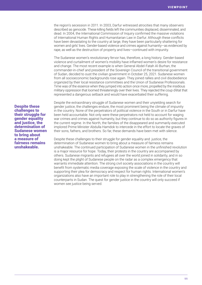the region's secession in 2011. In 2003, Darfur witnessed atrocities that many observers described as genocide. These killing fields left the communities displaced, disseminated, and dead. In 2004, the International Commission of Inquiry confirmed the massive violations of International Human Rights and Humanitarian Law in Darfur. Although these conflicts have been devastating to the country at large, they have been particularly shattering for women and girls' lives. Gender-based violence and crimes against humanity—as evidenced by rape, as well as the destruction of property and lives—continued with impunity.

The Sudanese women's revolutionary fervor has, therefore, a long history. Gender-based violence and curtailment of women's mobility have inflamed women's desire for resistance and change. The most recent example is when General Abdel-Fatah Al-Burhan, the commander-in-chief and president of the Sovereign Council of the transitional government of Sudan, decided to oust the civilian government in October 25, 2021. Sudanese women from all socioeconomic backgrounds rose again. They joined rallies and civil disobedience organized by their local resistance committees and the Union of Sudanese Professionals. Time was of the essence when they jumped into action once more, propelled by the insidious military oppression that loomed threateningly over their lives. They rejected the coup d'état that represented a dangerous setback and would have exacerbated their suffering.

Despite these challenges to their struggle for gender equality and justice, the determination of Sudanese women to bring about a measure of fairness remains unshakeable.

Despite the extraordinary struggle of Sudanese women and their unyielding search for gender justice, the challenges endure, the most prominent being the climate of impunity in the country. None of the perpetrators of political violence in the South or in Darfur have been held accountable. Not only were these perpetrators not held to account for waging war crimes and crimes against humanity, but they continue to do so as authority figures in the current regime. In the North, the families of the disappeared and summarily executed implored Prime Minister Abdulla Hamdok to intercede in the effort to locate the graves of their sons, fathers, and brothers. So far, these demands have been met with silence.

Despite these challenges to their struggle for gender equality and justice, the determination of Sudanese women to bring about a measure of fairness remains unshakeable. The continued participation of Sudanese women in the unfinished revolution is a major resource for hope. Today, their protests in the country are accompanied by others. Sudanese migrants and refugees all over the world joined in solidarity, and in so doing kept the plight of Sudanese people on the radar as a complex emergency that warrants immediate attention. The strong civil society associations in the country will benefit from systematic media coverage exposing the scale of violence in the country and supporting their plea for democracy and respect for human rights. International women's organizations also have an important role to play in strengthening the role of their local counterparts in Sudan. The quest for gender justice in the country will only succeed if women see justice being served.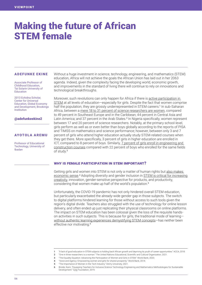# Making the future of African STEM female

#### ADEFUNKE EKINE

Associate Professor of Childhood Education, Tai Solarin University of Education

2013 Echidna Scholar, Center for Universal Education, Global Economy and Development, Brookings Institution

@adefunkeekine2

# AYOTOLA AREMU

Professor of Educational Technology, University of Ibadan

Without a huge investment in science, technology, engineering, and mathematics (STEM) education, Africa will not achieve the goals the African Union has laid out in her 2063 agenda. Indeed, given the complexity facing the developing world, economic growth, and improvements in the standard of living there will continue to rely on innovations and technological breakthroughs.

Moreover, such revolutions can only happen for Africa if there is [active participation in](https://www.accaglobal.com/in/en/member/member/accounting-business/2018/06/insights/stem-education.html)  [STEM](https://www.accaglobal.com/in/en/member/member/accounting-business/2018/06/insights/stem-education.html) at all levels of education—especially for girls. Despite the fact that women comprise half the population, they are grossly underrepresented in STEM careers.<sup>1</sup> In sub-Saharan Africa, between a [mere 18 to 31 percent of science researchers are women,](https://en.unesco.org/news/one-three-researchers-woman#:~:text=Globally%2C%20women%20make%20up%2033.3,covering%20the%20years%202015%E2%80%932018.) compared to 49 percent in Southeast Europe and in the Caribbean; 44 percent in Central Asia and Latin America; and 37 percent in the Arab States.<sup>2</sup> In Nigeria specifically, women represent between 17 and 20 percent of science researchers. Notably, at the primary school-level, girls perform as well as or even better than boys globally according to the reports of PISA and TIMSS on mathematics and science performance; however, between only 3 and 7 percent of girls who attend higher education actually study STEM-related courses when they get there. More specifically, 3 percent of girls in higher education are enrolled in ICT, compared to 8 percent of boys. Similarly, [7 percent of girls enroll in engineering and](https://www.worldbank.org/en/topic/gender/publication/the-equality-equation-advancing-the-participation-of-women-and-girls-in-stem)  [construction courses](https://www.worldbank.org/en/topic/gender/publication/the-equality-equation-advancing-the-participation-of-women-and-girls-in-stem) compared with 22 percent of boys who enrolled for the same fields of study.<sup>3</sup>

## Why is female participation in STEM important?

Getting girls and women into STEM is not only a matter of human rights but [also makes](https://www.worldbank.org/content/dam/Worldbank/document/Gender/Voice_and_agency_LOWRES.pdf)  [economic sense](https://www.worldbank.org/content/dam/Worldbank/document/Gender/Voice_and_agency_LOWRES.pdf).<sup>4</sup> Adopting diversity and gender inclusion in STEM is critical for increasing [creativity](https://www.devry.edu/blog/importance-of-women-in-the-tech-industry.html), innovation, gender-sensitive perspective for products, and productivity, considering that women make up half of the world's population.<sup>5</sup>

Unfortunately, the COVID-19 pandemic has not only hindered overall STEM education, but particularly exacerbated the already-wide gender gap in those subjects. The switch to digital platforms hindered learning for those without access to such tools given the region's digital divide. Teachers also struggled with the use of technology for online lesson delivery, and often ended up just replicating their physical classrooms on online platforms. The impact on STEM education has been colossal given the loss of the requisite handson activities in such subjects. This is because for girls, the traditional mode of learning [without authentic learning experiences demystifying STEM concepts—](http://ragajsiea.gylgfoundation.org/2019vol1/pdf/2019volno1/Equipping%20Teachers%20for%20Inclusive%20Science%20Technology%20Engineering%20and%20Mathematics%20Methodologies%20for%20Sustainable%20Development.pdf)has neither been effective nor motivating.<sup>6</sup>

- 2 "One in three researchers is a woman." The United Nations Educational, Scientific and Cultural Organization, 2021.
	- 3 "The Equality Equation: Advancing the Participation of Women and Girls in STEM." World Bank, 2020.
	- 4 "Voice and Agency: Empowering women and girls for shared prosperity." World Bank, 2014.

<sup>1</sup> "A lack of good education in STEM subjects is holding back African growth and depriving its youth of career opportunities." ACCA, 2018.

<sup>5</sup> The Importance of Women in the Tech Industry." DeVry University, 2021.

<sup>6</sup> Brodie, Karin. "Equipping Teachers for Inclusive Science Technology Engineering and Mathematics Methodologies for Sustainable Development." Gylg Foundation, 2019.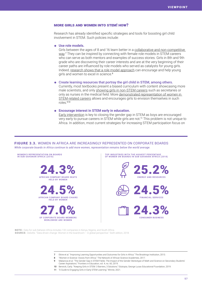# More girls and women into STEM! How?

Research has already identified specific strategies and tools for boosting girl child involvement in STEM. Such policies include:

#### ⁕ **Use role models.**

Girls between the ages of 8 and 16 learn better in a [collaborative and non-competitive](https://www.brookings.edu/wp-content/uploads/2016/06/WalkerEkineSamatiweb.pdf)  [way](https://www.brookings.edu/wp-content/uploads/2016/06/WalkerEkineSamatiweb.pdf).<sup>7</sup> They can be inspired by connecting with female role models in STEM careers who can serve as both mentors and examples of success stories. Girls in 8th and 9th grade who are discovering their career interests and are at the very beginning of their career paths are influenced by role models who served as catalysts for young girls. Indeed, [research shows that a role model approach](https://globalyoungacademy.net/wp-content/uploads/2017/08/Women-in-Science-Inspiring-Stories-from-Africa.pdf) can encourage and help young girls and women to excel in science.<sup>8</sup>

#### ⁕ Create learning resources that portray the girl child in STEM, among others.

Currently, most textbooks present a biased curriculum with content showcasing more male scientists, and only [showing girls in non-STEM careers](https://www.frontiersin.org/articles/10.3389/feduc.2019.00060/full) such as secretaries or only as nurses in the medical field. More [demonstrated representation of women in](https://www.edutopia.org/article/keeping-girls-stem-3-barriers-3-solutions)  [STEM-related careers](https://www.edutopia.org/article/keeping-girls-stem-3-barriers-3-solutions) allows and encourages girls to envision themselves in such roles $9,10$ 

#### ⁕ **Encourage interest in STEM early in education.**

[Early intervention](https://winnie.com/resources/engaging-girls-in-stem-education) is key to closing the gender gap in STEM as boys are encouraged very early to pursue careers in STEM while girls are not.<sup>11</sup> This problem is not unique to Africa. In addition, most current strategies for increasing STEM participation focus on

## FIGURE 3.3. WOMEN IN AFRICA ARE INCREASINGLY REPRESENTED ON CORPORATE BOARDS *While corporate boards in Africa continue to add more women, representation remains below the world average.*



NOTE: Data for sub-Saharan Africa includes 132 companies in Kenya, Nigeria, and South Africa. SOURCE: Deloitte. "Data-driven change: Women in the boardroom – A global perspective." Sixth edition, 2018.

- 7 Ekine et al. "Improving Learning Opportunities and Outcomes for Girls in Africa." The Brookings Institution, 2013.
- 8 "Women in Science: Voices from Africa." The Network of African Science Academies, 2017.
- 9 Makarova et al. "The Gender Gap in STEM Fields: The Impact of the Gender Stereotype of Math and Science on Secondary Students' Career Aspirations." Frontiers in Education, vol. 4, no. 60, 2019.
- 10 Berwick, Carly. "Keeping Girls in STEM: 3 Barriers, 3 Solutions." Edutopia, George Lucas Educational Foundation, 2019.
- 11 "A Guide to Engaging Girls in Early STEM Learning." Winnie, 2021.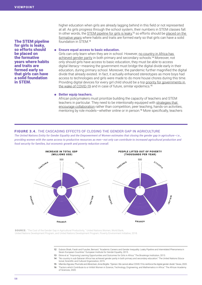The STEM pipeline for girls is leaky, so efforts should be placed on the formative years where habits and traits are formed early so that girls can have a solid foundation in STEM.

higher education when girls are already lagging behind in this field or not represented at all. As girls progress through the school system, their numbers in STEM classes fall. In other words, the [STEM pipeline for girls is leaky](https://eige.europa.eu/sites/default/files/garcia_working_paper_5_academic_careers_gender_inequality.pdf),<sup>12</sup> so efforts should be placed on the [formative years](https://www.brookings.edu/wp-content/uploads/2016/06/WalkerEkineSamatiweb.pdf) where habits and traits are formed early so that girls can have a solid foundation in STEM.<sup>13</sup>

### ⁕ **Ensure equal access to basic education.**

Girls can only learn when they are in school. However, no country in Africa has [achieved gender parity](https://en.unesco.org/gem-report/sites/default/files/SSA_Press_Release_English_Gender_Report2015.pdf) in both primary and secondary schools.<sup>14</sup> Moreover, not only should girls have access to basic education, they must be able to access digital literacy—meaning the government must bridge the digital divide early in their education, during primary school. Moreover, the pandemic further magnified the digital divide that already existed. In fact, it actually enhanced stereotypes as more boys had access to technologies and girls were made to do more house chores during this time. Providing digital devices for every girl child should be a top priority for governments in [the wake of COVID-19](https://www.devex.com/news/opinion-we-cannot-allow-covid-19-to-reinforce-the-digital-gender-divide-97118) and in case of future, similar epidemics.<sup>15</sup>

### ⁕ **Better equip teachers.**

African policymakers must prioritize building the capacity of teachers and STEM teachers in particular. They need to be intentionally equipped with [strategies that](https://www.aasciences.africa/sites/default/files/Publications/Women%20in%20STEM%20Report_Final.pdf)  [encourage collaboration](https://www.aasciences.africa/sites/default/files/Publications/Women%20in%20STEM%20Report_Final.pdf) rather than competition, peer teaching, hands-on activities, mentoring by role models—whether online or in person.<sup>16</sup> More specifically, teachers

# FIGURE 3.4. THE CASCADING EFFECTS OF CLOSING THE GENDER GAP IN AGRICULTURE

*The United Nations Entity for Gender Equality and the Empowerment of Women estimates that closing the gender gap in agriculture—i.e., providing women with the same access to productive resources as men—not only can contribute to increased agricultural production and food security for families, but economic growth and poverty reduction overall.*



SOURCE: "The Cost of the Gender Gap in Agricultural Productivity, " United Nations Women, World Bank, United Nations Development Program, and United Nations Development Program, Poverty Environment Initiative, 2018.

- 12 Dubois-Shaik, Farah and Fusulier, Bernard. "Academic Careers and Gender Inequality: Leaky Pipeline and Interrelated Phenomena in Seven European Countries." European Institute for Gender Equality, 2015.
- 13 Ekine et al. "Improving Learning Opportunities and Outcomes for Girls in Africa." The Brookings Institution, 2013.
- 14 "No country in sub-Saharan Africa has achieved gender parity in both primary and secondary education." The United Nations Educational, Scientific and Cultural Organization, 2015.
- 15 Mlambo-Ngcuka, Phumzile and Albrectsen, Anne-Birgitte. "Opinion: We cannot allow COVID-19 to reinforce the digital gender divide." Devex, 2020.
- 16 "Factors which Contribute to or Inhibit Women in Science, Technology, Engineering, and Mathematics in Africa." The African Academy of Sciences, 2020.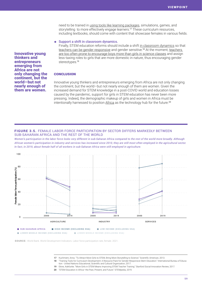need to be trained in [using tools like learning packages](https://blogs.scientificamerican.com/budding-scientist/to-attract-more-girls-to-stem-bring-storytelling-to-science/), simulations, games, and storytelling to more effectively engage learners.<sup>17</sup> These curriculum resources, including textbooks, should come with content that showcase females in various fields.

#### Support a shift in classroom dynamics.

Finally, STEM education reforms should include a shift [in classroom dynamics](https://ssir.org/articles/entry/more_girls_in_stem_means_improving_stem_teacher_training) so that [teachers can be gender responsive](https://www.varkeyfoundation.org/media/4527/250567e.pdf) and gender sensitive.<sup>18</sup> At the moment, teachers [are too often prone to encourage boys more than girls in science classes](https://ssir.org/articles/entry/more_girls_in_stem_means_improving_stem_teacher_training) and assign less-taxing roles to girls that are more domestic in nature, thus encouraging gender stereotypes.<sup>19</sup>

#### **CONCLUSION**

Innovative young thinkers and entrepreneurs emerging from Africa are not only changing the continent, but the world—but not nearly enough of them are women. Given the increased demand for STEM knowledge in a post-COVID world and education losses caused by the pandemic, support for girls in STEM education has never been more pressing*.* Indeed*,* the demographic makeup of girls and women in Africa must be intentionally harnessed to position [Africa](https://thestempedia.com/blog/stem-education-in-africa-the-past-present-and-future/) as the technology hub for the future.<sup>20</sup>

## FIGURE 3.5. FEMALE LABOR FORCE PARTICIPATION BY SECTOR DIFFERS MARKEDLY BETWEEN SUB-SAHARAN AFRICA AND THE REST OF THE WORLD

*Women's participation in the labor force looks very different in sub-Saharan Africa compared to the rest of the world more broadly. Although African women's participation in industry and services has increased since 2010, they are still most often employed in the agricultural sector. In fact, in 2019, about female half of all workers in sub-Saharan Africa were still employed in agriculture.* 



LOWER MIDDLE INCOME (EXCLUDING SSA) LOWER MIDDLE INCOME (EXCLUDING SSA)

SOURCE: World Bank. World Development Indicators. Labor force participation rate, female. 2021.

- 17 Kuchment, Anna. "To Attract More Girls to STEM, Bring More Storytelling to Science." Scientific American, 2013.
- 18 "Training Tools for Curriculum Development: A Resource Pack for Gender-Responsive Stem Education." International Bureau of Education - United Nations Educational, Scientific and Cultural Organization, 2017.
- 19 Ekine, Adefunke. "More Girls in STEM Means Improving STEM Teacher Training." Stanford Social Innovation Review, 2017.
	- 20 "STEM Education in Africa—the Past, Present, and Future." STEMpedia, 2019.

Innovative young thinkers and entrepreneurs emerging from Africa are not only changing the continent, but the world—but not nearly enough of them are women.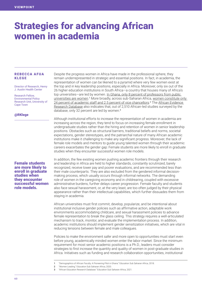# Strategies for advancing African women in academia

## REBECCA AFUA KLEGE

Director of Research, Henry J. Austin Health Center

Research Fellow, Environmental Policy Research Unit, University of Cape Town

## @RKlege

Female students are more likely to enroll in graduate studies when they encounter successful women role models.

Despite the progress women in Africa have made in the professional sphere, they remain underrepresented in strategic and essential positions. In fact, in academia, the representation of women can be likened to a pyramid where very few women exist at the top and in key leadership positions, especially in Africa. Moreover, only six out of the 26 higher education institutions in South Africa—a country that houses many of Africa's top universities—are led by women. In Ghana, only 8 percent of professors from public [universities are women.](https://essa-africa.org/sites/default/files/inline-files/Demographics of African Faculty Ghana Pilot Study.pdf)<sup>1</sup> More broadly, across sub-Saharan Africa, women constitute only [24 percent of academic staff and 2.5 percent of vice chancellors.](https://essa-africa.org/node/976)<sup>2</sup> The African Evidence [Research Database](https://essa-africa.org/AERD) also indicates that, out of 2,510 African-led studies surveyed by the database, only 32 percent are led by women.<sup>3</sup>

Although institutional efforts to increase the representation of women in academia are increasing across the region, they tend to focus on increasing female enrollment in undergraduate studies rather than the hiring and retention of women in senior leadership positions. Obstacles such as structural barriers, traditional beliefs and norms, societal expectations, gender stereotypes, and the patriarchal nature of many African academic institutions make it challenging to make any significant progress. Moreover, the lack of female role models and mentors to guide young talented women through their academic careers exacerbates the gender gap: Female students are more likely to enroll in graduate studies when they encounter successful women role models.

In addition, the few existing women pushing academic frontiers through their research and leadership in Africa are held to higher standards, constantly scrutinized, barely recognized, receive lower pay and poorer evaluations, and are recommended less than their male counterparts. They are also excluded from the gendered informal decisionmaking process, which usually occurs through informal networks. The demanding role of women in the caregiving economy and in childrearing, coupled with excessive administrative burdens, further delays career progression. Female faculty and students also face sexual harassment, or, at the very least, are too often judged by their physical appearance rather than their intellectual capabilities, which further dissuades them from staying in academia.

African universities must first commit, develop, popularize, and be intentional about institutional inclusive gender policies such as affirmative action, adaptable work environments accommodating childcare, and sexual harassment policies to advance female representation to break the glass ceiling. This strategy requires a well-articulated mechanism to track, monitor, and evaluate the implementation process. In addition, academic institutions should implement gender sensitization initiatives, which are vital in reducing tensions between female and male colleagues.

Policies to make the environment safer and more open to opportunities must start even before young, academically minded women enter the labor market. Since the minimum requirement for most senior academic positions is a Ph.D., leaders must consider strategies to first increase the quantity and quality of women in post-graduate studies in Africa. Initiatives such as funding and research collaboration opportunities, institutional

- 2 "Women Leading." Education Sub Saharan Africa, 2020.
- 3 "African Education Research Database." Education Sub Saharan Africa, 2021.

<sup>1</sup> "Demographics of African Faculty: A Pioneering Pilot in Ghana." Education Sub Saharan Africa, 2018.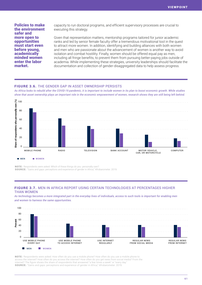Policies to make the environment safer and more open to opportunities must start even before young, academically minded women enter the labor market.

capacity to run doctoral programs, and efficient supervisory processes are crucial to executing this strategy.

Given that representation matters, mentorship programs tailored for junior academic ranks and led by senior female faculty offer a tremendous motivational tool in the quest to attract more women. In addition, identifying and building alliances with both women and men who are passionate about the advancement of women is another way to avoid isolation and combat hostility. Finally, women should be offered equal pay as men, including all fringe benefits, to prevent them from pursuing better-paying jobs outside of academia. While implementing these strategies, university leaderships should facilitate the documentation and collection of gender-disaggregated data to help assess progress.

## FIGURE 3.6. THE GENDER GAP IN ASSET OWNERSHIP PERSISTS

*As Africa looks to rebuild after the COVID-19 pandemic, it is important to include women in its plan to boost economic growth. While studies show that asset ownership plays an important role in the economic empowerment of women, research shows they are still being left behind.* 



NOTE: Respondents were asked: Which of these things do you personally own? SOURCE: "Gains and gaps: perceptions and experience of gender in Africa," Afrobarometer. 2019.

# FIGURE 3.7. MEN IN AFRICA REPORT USING CERTAIN TECHNOLOGIES AT PERCENTAGES HIGHER THAN WOMEN

*As technology becomes a more integrated part in the everyday lives of individuals, access to such tools is important for enabling men and women to harness the same opportunities.*



NOTE: Respondents were asked: How often do you use a mobile phone? How often do you use a mobile phone to access the internet? How often do you access the internet? How often do you get news from social media? From the internet? The figure shows the share of respondents that answered "a few times a week" or "every day. SOURCE: "Gains and gaps: perceptions and experience of gender in Africa," Afrobarometer. 2019.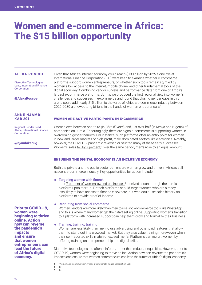# Women and e-commerce in Africa: The \$15 billion opportunity

## ALEXA ROSCOE

Disruptive Technologies Lead, International Finance Corporation

@AlexaRoscoe

## ANNE NJAMBI KABUGI

Regional Gender Lead, Africa, International Finance **Corporation** 

@njambikabug

Prior to COVID-19, women were beginning to thrive online. Action now can reverse the pandemic's impacts and ensure that women entrepreneurs can lead the future of Africa's digital economy.

Given that Africa's internet economy could reach \$180 billion by 2025 alone, we at International Finance Corporation (IFC) were keen to examine whether e-commerce platforms support women entrepreneurs, or whether such tools remain stymied by women's low access to the internet, mobile phone, and other fundamental tools of the digital economy. Combining vendor surveys and performance data from one of Africa's largest e-commerce platforms, Jumia, we produced the first regional view into women's challenges and successes in e-commerce and found that closing gender gaps in this arena could add nearly \$[15 billion to the value of Africa's e-commerce](https://www.ifc.org/wps/wcm/connect/topics_ext_content/ifc_external_corporate_site/gender+at+ifc/resources/women-and-ecommerce-africa) industry between 2025-2030 alone—putting billions in the hands of women entrepreneurs.<sup>1</sup>

## Women are active participants in e-commerce

Women own between one-third (in Côte d'Ivoire) and just over half (in Kenya and Nigeria) of companies on Jumia. Encouragingly, there are signs e-commerce is supporting women in overcoming gender barriers: For instance, such platforms offer an entry point for women in new and larger markets or high-profit, male-dominated sectors like electronics. Notably, however, the COVID-19 pandemic reversed or stunted many of these early successes: Women's sales <u>fell by 7 percent</u>;<sup>2</sup> over the same period, men's rose by an equal amount.

## Ensuring the digital economy is an inclusive economy

Both the private and the public sector can ensure women grow and thrive in Africa's still nascent e-commerce industry. Key opportunities for action include:

## ⁕ Targeting women with fintech

Just **7** percent of women-owned businesses<sup>3</sup> received a loan through the Jumia platform upon startup. Fintech platforms should target women who are already less likely to have access to finance elsewhere, but who could use sales history on platforms to provide proof of income.

## ⁕ Recruiting from social commerce

Women vendors are more likely than men to use social commerce tools like WhatsApp and this is where many women get their start selling online. Supporting women's transition to a platform with increased support can help them grow and formalize their business.

## ⁕ Training, training, training

Women are less likely than men to use advertising and other paid features that allow them to stand out in a crowded market. But they also value training more—even when their self-reported skills match or exceed men's. Platforms can recruit women by offering training on entrepreneurship and digital skills.

Disruptive technologies too often reinforce, rather than reduce, inequalities. However, prior to COVID-19, women were beginning to thrive online. Action now can reverse the pandemic's impacts and ensure that women entrepreneurs can lead the future of Africa's digital economy.

2 Ibid. 3 Ibid.

<sup>1</sup> "Women and e-commerce in Africa." International Finance Corporation, 2021.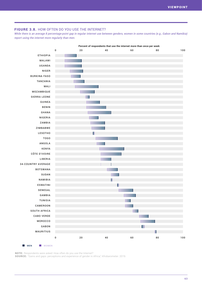## FIGURE 3.8. HOW OFTEN DO YOU USE THE INTERNET?

*While there is an average 8 percentage-point gap in regular internet use between genders, women in some countries (e.g., Gabon and Namibia) report using the internet more regularly than men.*



**NOTE:** Respondents were asked: How often do you use the Internet?

SOURCE: "Gains and gaps: perceptions and experience of gender in Africa," Afrobarometer. 2019.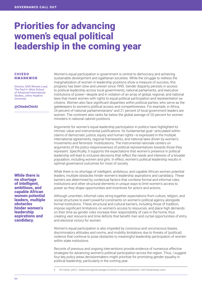# Priorities for advancing women's equal political leadership in the coming year

## CHIEDO NWANKWOR

Director, SAIS Women Lead, The Paul H. Nitze School of Advanced International Studies, Johns Hopkins **University** 

#### @ChiedoChichi

While there is no shortage of intelligent, ambitious, and capable African women potential leaders, multiple obstacles hinder women's leadership aspirations and candidacy.

Women's equal participation in government is central to democracy and achieving sustainable development and egalitarian societies. While the struggle to redress the marginalization of women in leadership positions show a measure of success, this progress has been slow and uneven since 1995. Gender disparity persists in access to political leadership across local governments, national parliaments, and executive institutions of power—despite and in violation of an array of global, regional, and national laws that invest women with rights to equal political participation and representation as citizens. Women also face significant disparities within political parties, who serve as the gatekeepers to women's political access and competitiveness. For example, in Africa, 24 percent of national parliamentarians<sup>1</sup> and 21 percent of local government leaders are women. The continent also ranks far below the global average of 20 percent for women ministers in national cabinet positions.

Arguments for women's equal leadership participation in politics have highlighted its intrinsic value and instrumental justifications. Its fundamental goal—articulated within claims of democratic justice, equity and human rights—is expressed in the multiple international agreements, regional frameworks, and national laws driven by women's movements and feminists' mobilizations. The instrumental rationale centers on arguments of the policy-responsiveness of political representatives towards those they represent. Specifically, it supports the expectations that women's presence in political leadership will lead to inclusive decisions that reflect the needs and interests of a broader population, including women and girls. In effect, women's political leadership results in optimal governance outcomes for most of society.

While there is no shortage of intelligent, ambitious, and capable African women potential leaders, multiple obstacles hinder women's leadership aspirations and candidacy. These barriers are determined by contextual factors that combine formal and informal rules, institutions and other structural elements in unique ways to limit women's access to power as they shape opportunities and incentives for actors and actions.

Although unwritten, informal rules string together expectations from culture, religion, and social structures to exert powerful constraints on women's political agency alongside formal institutions. These structural and cultural barriers, including those of tradition, impose significant limitations on women's access to resources, and place high demands on their time as gender roles increase their responsibility of care in the home, thus creating vast resource and time deficits that benefit men and curtail opportunities of entry and electoral victory for women.

Women's equal participation is also impeded by conscious and unconscious biases, discriminatory attitudes and norms, and mobility limitations due to threats of (political) violence that continue to pose obstacles to meaningful leadership participation of women within state institutions.

Records of previous and ongoing interventions provide evidence of numerous effective strategies for advancing women's political participation across the region. Thus, I suggest four key policy areas decisionmakers might prioritize for promoting gender equality in political leadership, particularly in the coming year.

1 IPU Parline. (2021). "Global and regional averages of women in national parliaments." Inter-Parliamentary Union.